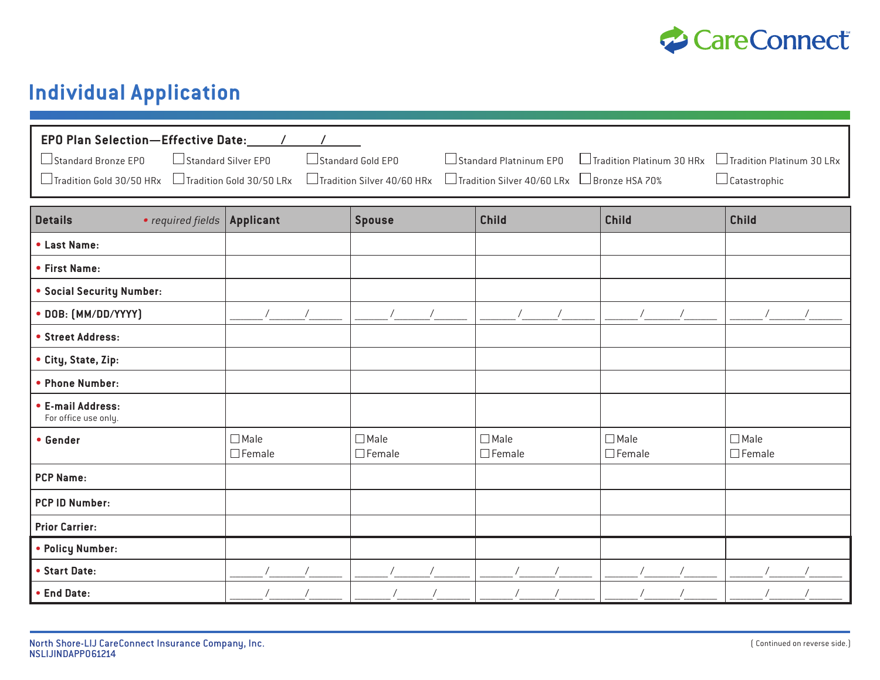

## **Individual Application**

| Standard Silver EPO<br>Standard Bronze EPO<br>$\Box$ Standard Platninum EP0<br>$\Box$ Tradition Platinum 30 HRx<br>$\Box$ Tradition Platinum 30 LRx<br>Standard Gold EPO<br>Tradition Gold 30/50 HRx<br>Tradition Gold 30/50 LRx<br>Tradition Silver 40/60 HRx<br>□ Tradition Silver 40/60 LRx □ Bronze HSA 70%<br>$\Box$ Catastrophic |                              |                              |                              |                              |                              |  |  |  |
|----------------------------------------------------------------------------------------------------------------------------------------------------------------------------------------------------------------------------------------------------------------------------------------------------------------------------------------|------------------------------|------------------------------|------------------------------|------------------------------|------------------------------|--|--|--|
| • required fields   Applicant<br><b>Details</b>                                                                                                                                                                                                                                                                                        |                              | <b>Spouse</b>                | <b>Child</b>                 | <b>Child</b>                 | <b>Child</b>                 |  |  |  |
| • Last Name:                                                                                                                                                                                                                                                                                                                           |                              |                              |                              |                              |                              |  |  |  |
| • First Name:                                                                                                                                                                                                                                                                                                                          |                              |                              |                              |                              |                              |  |  |  |
| • Social Security Number:                                                                                                                                                                                                                                                                                                              |                              |                              |                              |                              |                              |  |  |  |
| • DOB: [MM/DD/YYYY]                                                                                                                                                                                                                                                                                                                    |                              |                              |                              |                              |                              |  |  |  |
| • Street Address:                                                                                                                                                                                                                                                                                                                      |                              |                              |                              |                              |                              |  |  |  |
| • City, State, Zip:                                                                                                                                                                                                                                                                                                                    |                              |                              |                              |                              |                              |  |  |  |
| • Phone Number:                                                                                                                                                                                                                                                                                                                        |                              |                              |                              |                              |                              |  |  |  |
| • E-mail Address:<br>For office use only.                                                                                                                                                                                                                                                                                              |                              |                              |                              |                              |                              |  |  |  |
| • Gender                                                                                                                                                                                                                                                                                                                               | $\Box$ Male<br>$\Box$ Female | $\Box$ Male<br>$\Box$ Female | $\Box$ Male<br>$\Box$ Female | $\Box$ Male<br>$\Box$ Female | $\Box$ Male<br>$\Box$ Female |  |  |  |
| <b>PCP Name:</b>                                                                                                                                                                                                                                                                                                                       |                              |                              |                              |                              |                              |  |  |  |
| <b>PCP ID Number:</b>                                                                                                                                                                                                                                                                                                                  |                              |                              |                              |                              |                              |  |  |  |
| <b>Prior Carrier:</b>                                                                                                                                                                                                                                                                                                                  |                              |                              |                              |                              |                              |  |  |  |
| • Policy Number:                                                                                                                                                                                                                                                                                                                       |                              |                              |                              |                              |                              |  |  |  |
| • Start Date:                                                                                                                                                                                                                                                                                                                          |                              |                              |                              |                              |                              |  |  |  |
| • End Date:                                                                                                                                                                                                                                                                                                                            |                              |                              |                              |                              |                              |  |  |  |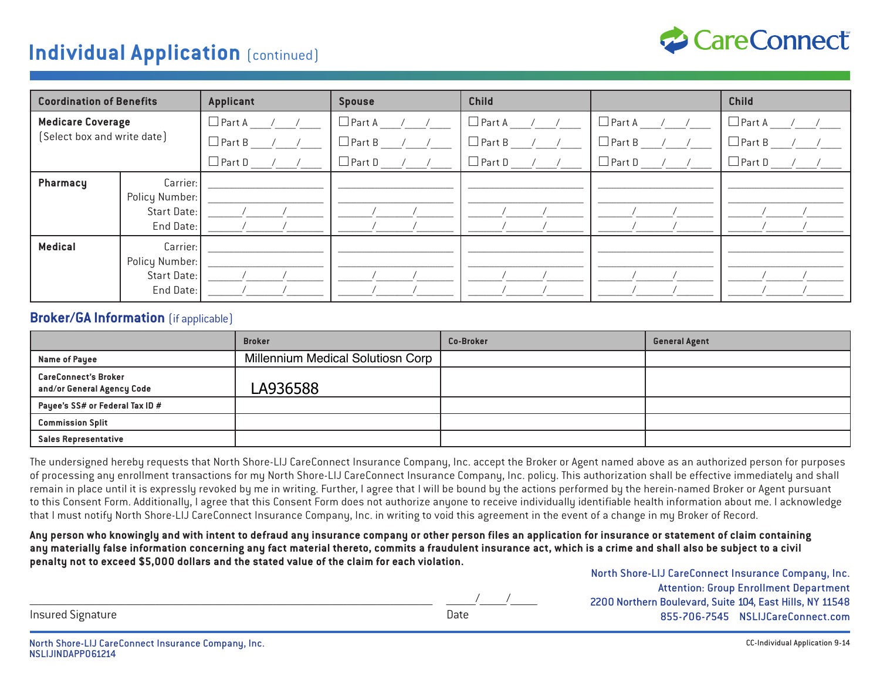#### **Individual Application** (continued)



| <b>Coordination of Benefits</b>                         |                                                        | <b>Applicant</b>  | <b>Spouse</b>     | <b>Child</b>  |                            | <b>Child</b>  |  |
|---------------------------------------------------------|--------------------------------------------------------|-------------------|-------------------|---------------|----------------------------|---------------|--|
| <b>Medicare Coverage</b><br>[Select box and write date] |                                                        | $\Box$ Part A / / | $\Box$ Part A / / | $\Box$ Part A | $\Box$ Part A ___/ ___/ __ | $\Box$ Part A |  |
|                                                         |                                                        | $\Box$ Part B / / | $\Box$ Part B / / | $\Box$ Part B | $\Box$ Part B              | $\Box$ Part B |  |
|                                                         |                                                        | $\Box$ Part D     | $\Box$ Part D / / | $\Box$ Part D | $\Box$ Part D              | $\Box$ Part D |  |
| Pharmacy                                                | Carrier:<br>Policy Number:<br>Start Date:<br>End Date: |                   |                   |               |                            |               |  |
| <b>Medical</b>                                          | Carrier:<br>Policy Number:<br>Start Date:<br>End Date: |                   |                   |               |                            |               |  |

#### **Broker/GA Information** (if applicable)

|                                                           | <b>Broker</b>                     | Co-Broker | <b>General Agent</b> |
|-----------------------------------------------------------|-----------------------------------|-----------|----------------------|
| Name of Payee                                             | Millennium Medical Solutiosn Corp |           |                      |
| <b>CareConnect's Broker</b><br>and/or General Agency Code | LA936588                          |           |                      |
| Payee's SS# or Federal Tax ID #                           |                                   |           |                      |
| <b>Commission Split</b>                                   |                                   |           |                      |
| <b>Sales Representative</b>                               |                                   |           |                      |

The undersigned hereby requests that North Shore-LIJ CareConnect Insurance Company, Inc. accept the Broker or Agent named above as an authorized person for purposes of processing any enrollment transactions for my North Shore-LIJ CareConnect Insurance Company, Inc. policy. This authorization shall be effective immediately and shall remain in place until it is expressly revoked by me in writing. Further, I agree that I will be bound by the actions performed by the herein-named Broker or Agent pursuant to this Consent Form. Additionally, I agree that this Consent Form does not authorize anyone to receive individually identifiable health information about me. I acknowledge that I must notify North Shore-LIJ CareConnect Insurance Company, Inc. in writing to void this agreement in the event of a change in my Broker of Record.

**Any person who knowingly and with intent to defraud any insurance company or other person files an application for insurance or statement of claim containing any materially false information concerning any fact material thereto, commits a fraudulent insurance act, which is a crime and shall also be subject to a civil penalty not to exceed \$5,000 dollars and the stated value of the claim for each violation.**

| North Shore-LIJ CareConnect Insurance Company, Inc.      |
|----------------------------------------------------------|
| <b>Attention: Group Enrollment Department</b>            |
| 2200 Northern Boulevard, Suite 104, East Hills, NY 11548 |
| 855-706-7545 NSLIJCareConnect.com                        |

Insured Signature **Date** 

| المناطب منحال المحاديث |  |  |
|------------------------|--|--|
|                        |  |  |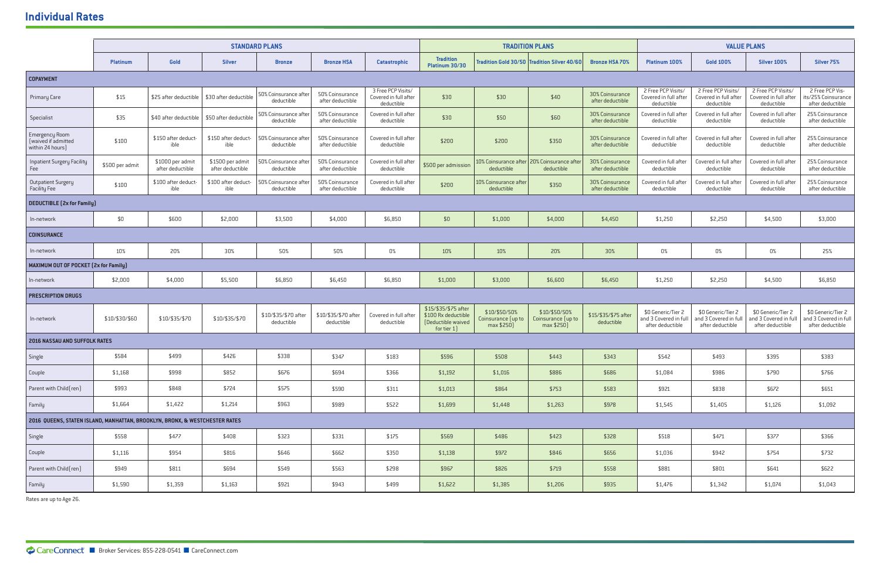|                                                                             | <b>STANDARD PLANS</b> |                                      |                                      |                                     | <b>TRADITION PLANS</b>              |                                                           |                                                                                 | <b>VALUE PLANS</b>                                         |                                                   |                                     |                                                                 |                                                                 |                                                                 |                                                                 |
|-----------------------------------------------------------------------------|-----------------------|--------------------------------------|--------------------------------------|-------------------------------------|-------------------------------------|-----------------------------------------------------------|---------------------------------------------------------------------------------|------------------------------------------------------------|---------------------------------------------------|-------------------------------------|-----------------------------------------------------------------|-----------------------------------------------------------------|-----------------------------------------------------------------|-----------------------------------------------------------------|
|                                                                             | <b>Platinum</b>       | Gold                                 | <b>Silver</b>                        | <b>Bronze</b>                       | <b>Bronze HSA</b>                   | <b>Catastrophic</b>                                       | <b>Tradition</b><br>Platinum 30/30                                              |                                                            | Tradition Gold 30/50 Tradition Silver 40/60       | <b>Bronze HSA 70%</b>               | <b>Platinum 100%</b>                                            | <b>Gold 100%</b>                                                | <b>Silver 100%</b>                                              | Silver <sub>75</sub> %                                          |
| <b>COPAYMENT</b>                                                            |                       |                                      |                                      |                                     |                                     |                                                           |                                                                                 |                                                            |                                                   |                                     |                                                                 |                                                                 |                                                                 |                                                                 |
| <b>Primary Care</b>                                                         | \$15                  | \$25 after deductible                | \$30 after deductible                | 50% Coinsurance after<br>deductible | 50% Coinsurance<br>after deductible | 3 Free PCP Visits/<br>Covered in full after<br>deductible | \$30                                                                            | \$30                                                       | \$40                                              | 30% Coinsurance<br>after deductible | 2 Free PCP Visits/<br>Covered in full after<br>deductible       | 2 Free PCP Visits/<br>Covered in full after<br>deductible       | 2 Free PCP Visits/<br>Covered in full after<br>deductible       | 2 Free PCP Vis-<br>its/25% Coinsurance<br>after deductible      |
| Specialist                                                                  | \$35                  | \$40 after deductible                | \$50 after deductible                | 50% Coinsurance after<br>deductible | 50% Coinsurance<br>after deductible | Covered in full after<br>deductible                       | \$30                                                                            | \$50                                                       | \$60                                              | 30% Coinsurance<br>after deductible | Covered in full after<br>deductible                             | Covered in full after<br>deductible                             | Covered in full after<br>deductible                             | 25% Coinsurance<br>after deductible                             |
| Emergency Room<br>(waived if admitted<br>within 24 hours)                   | \$100                 | \$150 after deduct-<br>ible          | \$150 after deduct-<br>ible          | 50% Coinsurance after<br>deductible | 50% Coinsurance<br>after deductible | Covered in full after<br>deductible                       | \$200                                                                           | \$200                                                      | \$350                                             | 30% Coinsurance<br>after deductible | Covered in full after<br>deductible                             | Covered in full after<br>deductible                             | Covered in full after<br>deductible                             | 25% Coinsurance<br>after deductible                             |
| <b>Inpatient Surgery Facility</b><br>Fee                                    | \$500 per admit       | \$1000 per admit<br>after deductible | \$1500 per admit<br>after deductible | 50% Coinsurance after<br>deductible | 50% Coinsurance<br>after deductible | Covered in full after<br>deductible                       | \$500 per admission                                                             | 10% Coinsurance after   20% Coinsurance afte<br>deductible | deductible                                        | 30% Coinsurance<br>after deductible | Covered in full after<br>deductible                             | Covered in full after<br>deductible                             | Covered in full after<br>deductible                             | 25% Coinsurance<br>after deductible                             |
| <b>Outpatient Surgery</b><br>Facility Fee                                   | \$100                 | \$100 after deduct<br>ible           | \$100 after deduct-<br>ible          | 50% Coinsurance after<br>deductible | 50% Coinsurance<br>after deductible | Covered in full after<br>deductible                       | \$200                                                                           | 10% Coinsurance after<br>deductible                        | \$350                                             | 30% Coinsurance<br>after deductible | Covered in full after<br>deductible                             | Covered in full afte<br>deductible                              | Covered in full after<br>deductible                             | 25% Coinsurance<br>after deductible                             |
| <b>DEDUCTIBLE (2x for Family)</b>                                           |                       |                                      |                                      |                                     |                                     |                                                           |                                                                                 |                                                            |                                                   |                                     |                                                                 |                                                                 |                                                                 |                                                                 |
| In-network                                                                  | \$0                   | \$600                                | \$2,000                              | \$3,500                             | \$4,000                             | \$6,850                                                   | \$0                                                                             | \$1,000                                                    | \$4,000                                           | \$4,450                             | \$1,250                                                         | \$2,250                                                         | \$4,500                                                         | \$3,000                                                         |
| <b>COINSURANCE</b>                                                          |                       |                                      |                                      |                                     |                                     |                                                           |                                                                                 |                                                            |                                                   |                                     |                                                                 |                                                                 |                                                                 |                                                                 |
| In-network                                                                  | 10%                   | 20%                                  | 30%                                  | 50%                                 | 50%                                 | 0%                                                        | 10%                                                                             | 10%                                                        | 20%                                               | 30%                                 | $0\%$                                                           | $0\%$                                                           | $0\%$                                                           | 25%                                                             |
| MAXIMUM OUT OF POCKET (2x for Family)                                       |                       |                                      |                                      |                                     |                                     |                                                           |                                                                                 |                                                            |                                                   |                                     |                                                                 |                                                                 |                                                                 |                                                                 |
| n-network                                                                   | \$2,000               | \$4,000                              | \$5,500                              | \$6,850                             | \$6,450                             | \$6,850                                                   | \$1,000                                                                         | \$3,000                                                    | \$6,600                                           | \$6,450                             | \$1,250                                                         | \$2,250                                                         | \$4,500                                                         | \$6,850                                                         |
| <b>PRESCRIPTION DRUGS</b>                                                   |                       |                                      |                                      |                                     |                                     |                                                           |                                                                                 |                                                            |                                                   |                                     |                                                                 |                                                                 |                                                                 |                                                                 |
| In-network                                                                  | \$10/\$30/\$60        | \$10/\$35/\$70                       | \$10/\$35/\$70                       | \$10/\$35/\$70 after<br>deductible  | \$10/\$35/\$70 after<br>deductible  | Covered in full after<br>deductible                       | \$15/\$35/\$75 after<br>\$100 Rx deductible<br>[Deductible waived<br>for tier 1 | \$10/\$50/50%<br>Coinsurance (up to<br>max \$250)          | \$10/\$50/50%<br>Coinsurance (up to<br>max \$250) | \$15/\$35/\$75 after<br>deductible  | \$0 Generic/Tier 2<br>and 3 Covered in full<br>after deductible | \$0 Generic/Tier 2<br>and 3 Covered in full<br>after deductible | \$0 Generic/Tier 2<br>and 3 Covered in full<br>after deductible | \$0 Generic/Tier 2<br>and 3 Covered in full<br>after deductible |
| <b>2016 NASSAU AND SUFFOLK RATES</b>                                        |                       |                                      |                                      |                                     |                                     |                                                           |                                                                                 |                                                            |                                                   |                                     |                                                                 |                                                                 |                                                                 |                                                                 |
| Single                                                                      | \$584                 | \$499                                | \$426                                | \$338                               | \$347                               | \$183                                                     | \$596                                                                           | \$508                                                      | \$443                                             | \$343                               | \$542                                                           | \$493                                                           | \$395                                                           | \$383                                                           |
| Couple                                                                      | \$1,168               | \$998                                | \$852                                | \$676                               | \$694                               | \$366                                                     | \$1,192                                                                         | \$1,016                                                    | \$886                                             | \$686                               | \$1,084                                                         | \$986                                                           | \$790                                                           | \$766                                                           |
| Parent with Child (ren)                                                     | \$993                 | \$848                                | \$724                                | \$575                               | \$590                               | \$311                                                     | \$1,013                                                                         | \$864                                                      | \$753                                             | \$583                               | \$921                                                           | \$838                                                           | \$672                                                           | \$651                                                           |
| Family                                                                      | \$1,664               | \$1,422                              | \$1,214                              | \$963                               | \$989                               | \$522                                                     | \$1,699                                                                         | \$1,448                                                    | \$1,263                                           | \$978                               | \$1,545                                                         | \$1,405                                                         | \$1,126                                                         | \$1,092                                                         |
| 2016 QUEENS, STATEN ISLAND, MANHATTAN, BROOKLYN, BRONX, & WESTCHESTER RATES |                       |                                      |                                      |                                     |                                     |                                                           |                                                                                 |                                                            |                                                   |                                     |                                                                 |                                                                 |                                                                 |                                                                 |
| Single                                                                      | \$558                 | \$477                                | \$408                                | \$323                               | \$331                               | \$175                                                     | \$569                                                                           | \$486                                                      | \$423                                             | \$328                               | \$518                                                           | \$471                                                           | \$377                                                           | \$366                                                           |
| Couple                                                                      | \$1,116               | \$954                                | \$816                                | \$646                               | \$662                               | \$350                                                     | \$1,138                                                                         | \$972                                                      | \$846                                             | \$656                               | \$1,036                                                         | \$942                                                           | \$754                                                           | \$732                                                           |
| Parent with Child (ren)                                                     | \$949                 | \$811                                | \$694                                | \$549                               | \$563                               | \$298                                                     | \$967                                                                           | \$826                                                      | \$719                                             | \$558                               | \$881                                                           | \$801                                                           | \$641                                                           | \$622                                                           |
| Family                                                                      | \$1,590               | \$1,359                              | \$1,163                              | \$921                               | \$943                               | \$499                                                     | \$1,622                                                                         | \$1,385                                                    | \$1,206                                           | \$935                               | \$1,476                                                         | \$1,342                                                         | \$1,074                                                         | \$1,043                                                         |

F Rates are up to Age 26.

#### **Individual Rates**